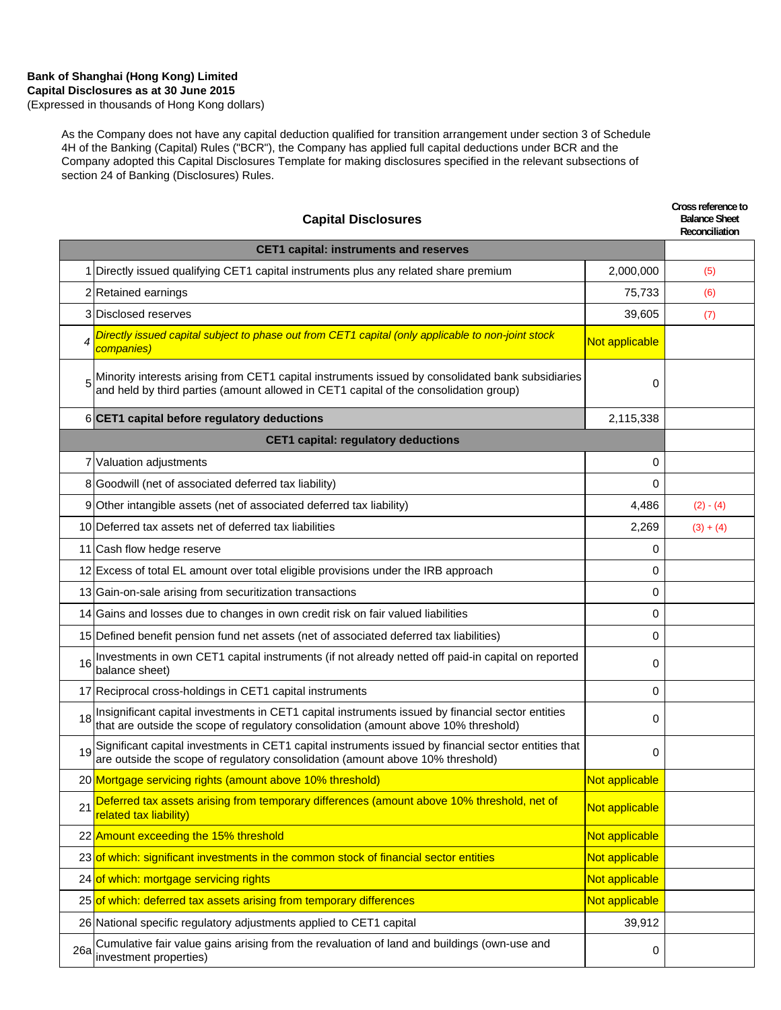(Expressed in thousands of Hong Kong dollars)

As the Company does not have any capital deduction qualified for transition arrangement under section 3 of Schedule 4H of the Banking (Capital) Rules ("BCR"), the Company has applied full capital deductions under BCR and the Company adopted this Capital Disclosures Template for making disclosures specified in the relevant subsections of section 24 of Banking (Disclosures) Rules.

|                | <b>Capital Disclosures</b>                                                                                                                                                                 |                | Cross reference to<br><b>Balance Sheet</b><br>Reconciliation |
|----------------|--------------------------------------------------------------------------------------------------------------------------------------------------------------------------------------------|----------------|--------------------------------------------------------------|
|                | <b>CET1 capital: instruments and reserves</b>                                                                                                                                              |                |                                                              |
|                | 1 Directly issued qualifying CET1 capital instruments plus any related share premium                                                                                                       | 2,000,000      | (5)                                                          |
|                | 2 Retained earnings                                                                                                                                                                        | 75,733         | (6)                                                          |
|                | 3 Disclosed reserves                                                                                                                                                                       | 39,605         | (7)                                                          |
| $\overline{4}$ | Directly issued capital subject to phase out from CET1 capital (only applicable to non-joint stock<br>companies)                                                                           | Not applicable |                                                              |
|                | Minority interests arising from CET1 capital instruments issued by consolidated bank subsidiaries<br>and held by third parties (amount allowed in CET1 capital of the consolidation group) | 0              |                                                              |
|                | 6 CET1 capital before regulatory deductions                                                                                                                                                | 2,115,338      |                                                              |
|                | <b>CET1 capital: regulatory deductions</b>                                                                                                                                                 |                |                                                              |
|                | 7 Valuation adjustments                                                                                                                                                                    | 0              |                                                              |
|                | 8 Goodwill (net of associated deferred tax liability)                                                                                                                                      | 0              |                                                              |
|                | 9 Other intangible assets (net of associated deferred tax liability)                                                                                                                       | 4,486          | $(2) - (4)$                                                  |
|                | 10 Deferred tax assets net of deferred tax liabilities                                                                                                                                     | 2,269          | $(3) + (4)$                                                  |
|                | 11 Cash flow hedge reserve                                                                                                                                                                 | 0              |                                                              |
|                | 12 Excess of total EL amount over total eligible provisions under the IRB approach                                                                                                         | 0              |                                                              |
|                | 13 Gain-on-sale arising from securitization transactions                                                                                                                                   | 0              |                                                              |
|                | 14 Gains and losses due to changes in own credit risk on fair valued liabilities                                                                                                           | 0              |                                                              |
|                | 15 Defined benefit pension fund net assets (net of associated deferred tax liabilities)                                                                                                    | 0              |                                                              |
| 16             | Investments in own CET1 capital instruments (if not already netted off paid-in capital on reported<br>balance sheet)                                                                       | 0              |                                                              |
|                | 17 Reciprocal cross-holdings in CET1 capital instruments                                                                                                                                   | 0              |                                                              |
| 18             | Insignificant capital investments in CET1 capital instruments issued by financial sector entities<br>that are outside the scope of regulatory consolidation (amount above 10% threshold)   | 0              |                                                              |
| 19             | Significant capital investments in CET1 capital instruments issued by financial sector entities that are outside the scope of regulatory consolidation (amount above 10% threshold)        | 0              |                                                              |
|                | 20 Mortgage servicing rights (amount above 10% threshold)                                                                                                                                  | Not applicable |                                                              |
| 21             | Deferred tax assets arising from temporary differences (amount above 10% threshold, net of<br>related tax liability)                                                                       | Not applicable |                                                              |
|                | 22 Amount exceeding the 15% threshold                                                                                                                                                      | Not applicable |                                                              |
|                | 23 of which: significant investments in the common stock of financial sector entities                                                                                                      | Not applicable |                                                              |
|                | 24 of which: mortgage servicing rights                                                                                                                                                     | Not applicable |                                                              |
|                | 25 of which: deferred tax assets arising from temporary differences                                                                                                                        | Not applicable |                                                              |
|                | 26 National specific regulatory adjustments applied to CET1 capital                                                                                                                        | 39,912         |                                                              |
| 26a            | Cumulative fair value gains arising from the revaluation of land and buildings (own-use and<br>investment properties)                                                                      | 0              |                                                              |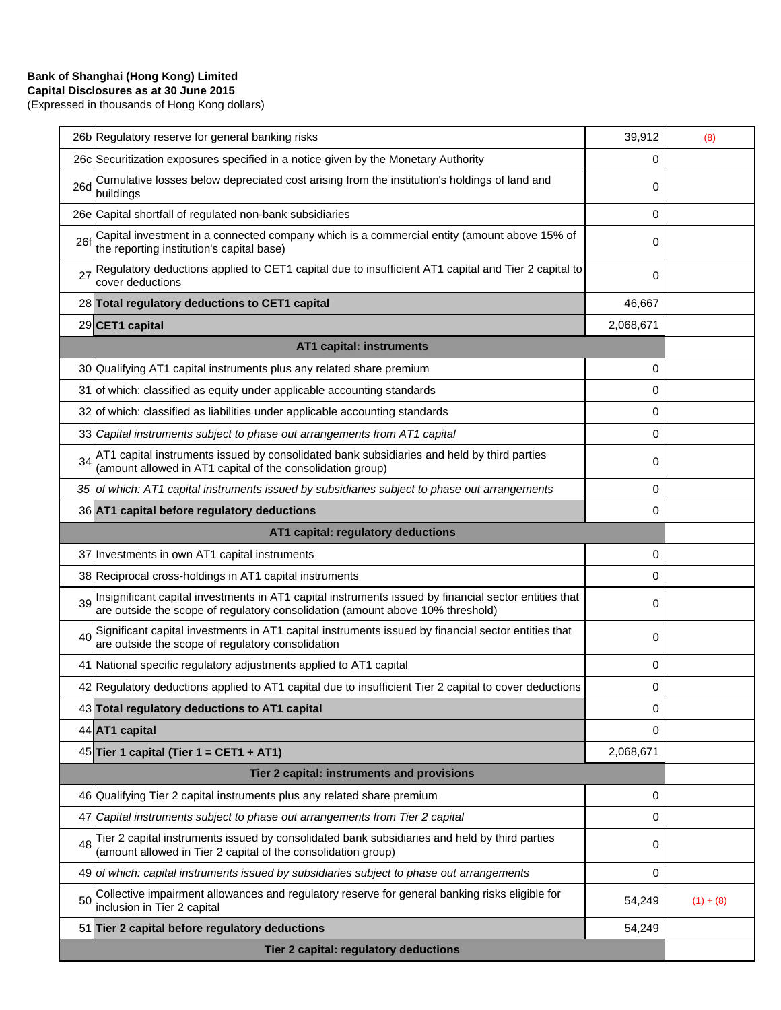(Expressed in thousands of Hong Kong dollars)

|     | 26b Regulatory reserve for general banking risks                                                                                                                                        | 39,912    | (8)         |
|-----|-----------------------------------------------------------------------------------------------------------------------------------------------------------------------------------------|-----------|-------------|
|     | 26c Securitization exposures specified in a notice given by the Monetary Authority                                                                                                      | 0         |             |
| 26d | Cumulative losses below depreciated cost arising from the institution's holdings of land and<br>buildings                                                                               | 0         |             |
|     | 26e Capital shortfall of regulated non-bank subsidiaries                                                                                                                                | 0         |             |
| 26f | Capital investment in a connected company which is a commercial entity (amount above 15% of<br>the reporting institution's capital base)                                                | 0         |             |
| 27  | Regulatory deductions applied to CET1 capital due to insufficient AT1 capital and Tier 2 capital to<br>cover deductions                                                                 | 0         |             |
|     | 28 Total regulatory deductions to CET1 capital                                                                                                                                          | 46,667    |             |
|     | 29 CET1 capital                                                                                                                                                                         | 2,068,671 |             |
|     | <b>AT1 capital: instruments</b>                                                                                                                                                         |           |             |
|     | 30 Qualifying AT1 capital instruments plus any related share premium                                                                                                                    | 0         |             |
|     | 31 of which: classified as equity under applicable accounting standards                                                                                                                 | 0         |             |
|     | 32 of which: classified as liabilities under applicable accounting standards                                                                                                            | 0         |             |
|     | 33 Capital instruments subject to phase out arrangements from AT1 capital                                                                                                               | 0         |             |
| 34  | AT1 capital instruments issued by consolidated bank subsidiaries and held by third parties<br>(amount allowed in AT1 capital of the consolidation group)                                | 0         |             |
|     | 35 of which: AT1 capital instruments issued by subsidiaries subject to phase out arrangements                                                                                           | 0         |             |
|     | 36 AT1 capital before regulatory deductions                                                                                                                                             | 0         |             |
|     | AT1 capital: regulatory deductions                                                                                                                                                      |           |             |
|     | 37 Investments in own AT1 capital instruments                                                                                                                                           | 0         |             |
|     | 38 Reciprocal cross-holdings in AT1 capital instruments                                                                                                                                 | 0         |             |
| 39  | Insignificant capital investments in AT1 capital instruments issued by financial sector entities that<br>are outside the scope of regulatory consolidation (amount above 10% threshold) | 0         |             |
| 40  | Significant capital investments in AT1 capital instruments issued by financial sector entities that<br>are outside the scope of regulatory consolidation                                | 0         |             |
|     | 41 National specific regulatory adjustments applied to AT1 capital                                                                                                                      | 0         |             |
|     | 42 Regulatory deductions applied to AT1 capital due to insufficient Tier 2 capital to cover deductions                                                                                  | 0         |             |
|     | 43 Total regulatory deductions to AT1 capital                                                                                                                                           | 0         |             |
|     | 44 AT1 capital                                                                                                                                                                          | 0         |             |
|     | 45 Tier 1 capital (Tier 1 = CET1 + AT1)                                                                                                                                                 | 2,068,671 |             |
|     | Tier 2 capital: instruments and provisions                                                                                                                                              |           |             |
|     | 46 Qualifying Tier 2 capital instruments plus any related share premium                                                                                                                 | 0         |             |
| 47  | Capital instruments subject to phase out arrangements from Tier 2 capital                                                                                                               | 0         |             |
| 48  | Tier 2 capital instruments issued by consolidated bank subsidiaries and held by third parties<br>(amount allowed in Tier 2 capital of the consolidation group)                          | 0         |             |
|     | 49 of which: capital instruments issued by subsidiaries subject to phase out arrangements                                                                                               | 0         |             |
| 50  | Collective impairment allowances and regulatory reserve for general banking risks eligible for<br>inclusion in Tier 2 capital                                                           | 54,249    | $(1) + (8)$ |
|     | 51 Tier 2 capital before regulatory deductions                                                                                                                                          | 54,249    |             |
|     | Tier 2 capital: regulatory deductions                                                                                                                                                   |           |             |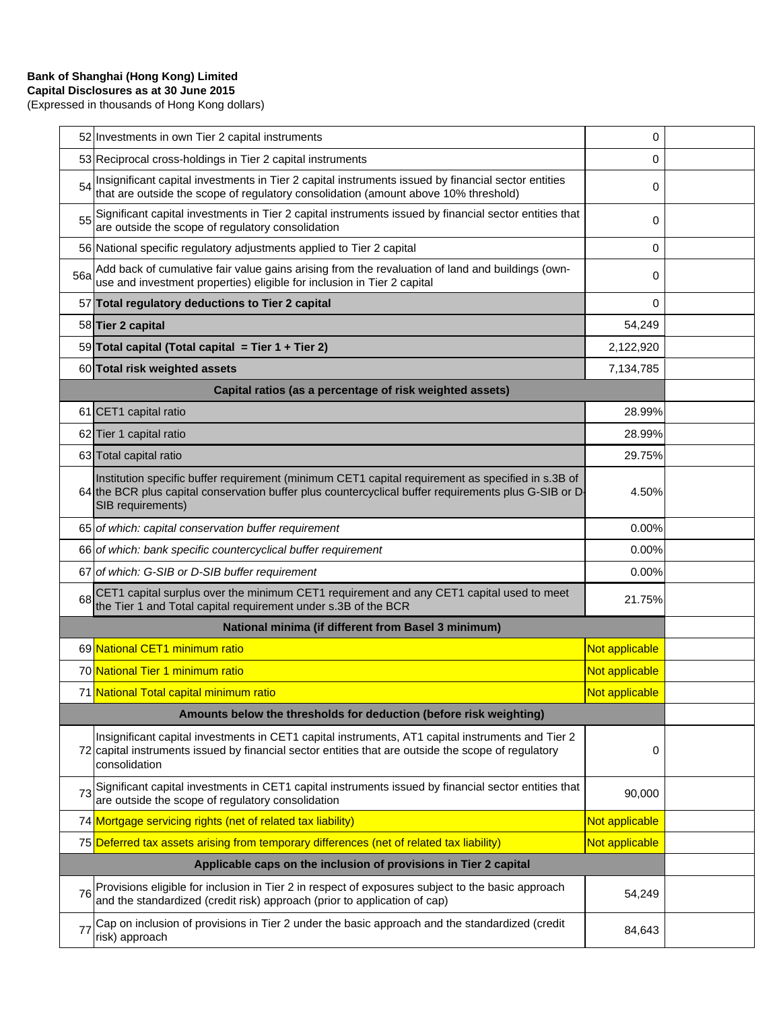(Expressed in thousands of Hong Kong dollars)

|                                                                  | 52 Investments in own Tier 2 capital instruments                                                                                                                                                                               | 0              |  |
|------------------------------------------------------------------|--------------------------------------------------------------------------------------------------------------------------------------------------------------------------------------------------------------------------------|----------------|--|
|                                                                  | 53 Reciprocal cross-holdings in Tier 2 capital instruments                                                                                                                                                                     | 0              |  |
| 54                                                               | Insignificant capital investments in Tier 2 capital instruments issued by financial sector entities<br>that are outside the scope of regulatory consolidation (amount above 10% threshold)                                     | 0              |  |
| 55                                                               | Significant capital investments in Tier 2 capital instruments issued by financial sector entities that<br>are outside the scope of regulatory consolidation                                                                    | 0              |  |
|                                                                  | 56 National specific regulatory adjustments applied to Tier 2 capital                                                                                                                                                          | 0              |  |
| <b>56a</b>                                                       | Add back of cumulative fair value gains arising from the revaluation of land and buildings (own-<br>use and investment properties) eligible for inclusion in Tier 2 capital                                                    | 0              |  |
|                                                                  | 57 Total regulatory deductions to Tier 2 capital                                                                                                                                                                               | 0              |  |
|                                                                  | 58 Tier 2 capital                                                                                                                                                                                                              | 54,249         |  |
|                                                                  | 59 Total capital (Total capital = Tier 1 + Tier 2)                                                                                                                                                                             | 2,122,920      |  |
|                                                                  | 60 Total risk weighted assets                                                                                                                                                                                                  | 7,134,785      |  |
|                                                                  | Capital ratios (as a percentage of risk weighted assets)                                                                                                                                                                       |                |  |
|                                                                  | 61 CET1 capital ratio                                                                                                                                                                                                          | 28.99%         |  |
|                                                                  | 62 Tier 1 capital ratio                                                                                                                                                                                                        | 28.99%         |  |
|                                                                  | 63 Total capital ratio                                                                                                                                                                                                         | 29.75%         |  |
|                                                                  | Institution specific buffer requirement (minimum CET1 capital requirement as specified in s.3B of<br>64 the BCR plus capital conservation buffer plus countercyclical buffer requirements plus G-SIB or D<br>SIB requirements) | 4.50%          |  |
|                                                                  | 65 of which: capital conservation buffer requirement                                                                                                                                                                           | 0.00%          |  |
|                                                                  | 66 of which: bank specific countercyclical buffer requirement                                                                                                                                                                  | 0.00%          |  |
|                                                                  | 67 of which: G-SIB or D-SIB buffer requirement                                                                                                                                                                                 | 0.00%          |  |
| 68                                                               | CET1 capital surplus over the minimum CET1 requirement and any CET1 capital used to meet<br>the Tier 1 and Total capital requirement under s.3B of the BCR                                                                     | 21.75%         |  |
|                                                                  | National minima (if different from Basel 3 minimum)                                                                                                                                                                            |                |  |
|                                                                  | 69 National CET1 minimum ratio                                                                                                                                                                                                 | Not applicable |  |
|                                                                  | 70 National Tier 1 minimum ratio                                                                                                                                                                                               | Not applicable |  |
|                                                                  | 71 National Total capital minimum ratio                                                                                                                                                                                        | Not applicable |  |
|                                                                  | Amounts below the thresholds for deduction (before risk weighting)                                                                                                                                                             |                |  |
|                                                                  | Insignificant capital investments in CET1 capital instruments, AT1 capital instruments and Tier 2<br>72 capital instruments issued by financial sector entities that are outside the scope of regulatory<br>consolidation      | 0              |  |
| 73                                                               | Significant capital investments in CET1 capital instruments issued by financial sector entities that<br>are outside the scope of regulatory consolidation                                                                      | 90,000         |  |
|                                                                  | 74 Mortgage servicing rights (net of related tax liability)                                                                                                                                                                    | Not applicable |  |
|                                                                  | 75 Deferred tax assets arising from temporary differences (net of related tax liability)                                                                                                                                       | Not applicable |  |
| Applicable caps on the inclusion of provisions in Tier 2 capital |                                                                                                                                                                                                                                |                |  |
| 76                                                               | Provisions eligible for inclusion in Tier 2 in respect of exposures subject to the basic approach and the standardized (credit risk) approach (prior to application of cap)                                                    | 54,249         |  |
| 77                                                               | Cap on inclusion of provisions in Tier 2 under the basic approach and the standardized (credit<br>risk) approach                                                                                                               | 84,643         |  |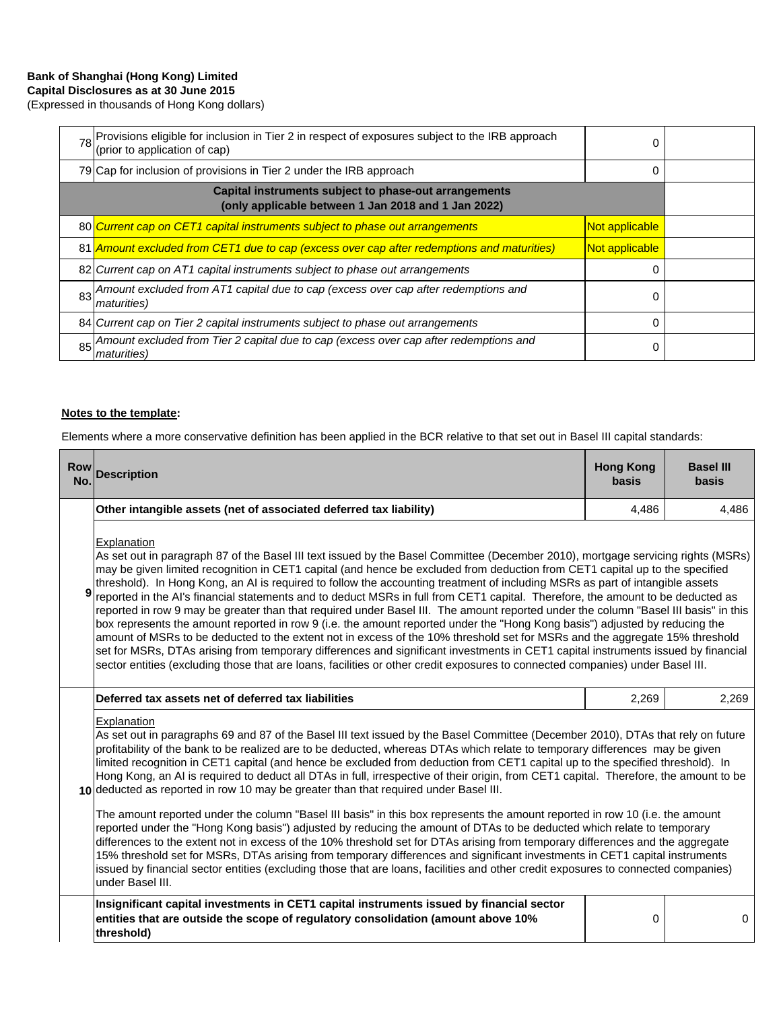(Expressed in thousands of Hong Kong dollars)

| 78 Provisions eligible for inclusion in Tier 2 in respect of exposures subject to the IRB approach<br>(prior to application of cap) | 0              |  |
|-------------------------------------------------------------------------------------------------------------------------------------|----------------|--|
| 79 Cap for inclusion of provisions in Tier 2 under the IRB approach                                                                 | 0              |  |
| Capital instruments subject to phase-out arrangements<br>(only applicable between 1 Jan 2018 and 1 Jan 2022)                        |                |  |
| 80 Current cap on CET1 capital instruments subject to phase out arrangements                                                        | Not applicable |  |
| 81 Amount excluded from CET1 due to cap (excess over cap after redemptions and maturities)                                          | Not applicable |  |
| 82 Current cap on AT1 capital instruments subject to phase out arrangements                                                         | 0              |  |
| 83 Amount excluded from AT1 capital due to cap (excess over cap after redemptions and<br><i>maturities</i> )                        | 0              |  |
| 84 Current cap on Tier 2 capital instruments subject to phase out arrangements                                                      | 0              |  |
| 85 Amount excluded from Tier 2 capital due to cap (excess over cap after redemptions and<br><i>maturities</i> )                     | 0              |  |

#### **Notes to the template:**

Elements where a more conservative definition has been applied in the BCR relative to that set out in Basel III capital standards:

| <b>Row</b><br>No. | <b>Description</b>                                                                                                                                                                                                                                                                                                                                                                                                                                                                                                                                                                                                                                                                                                                                                                                                                                                                                                                                                                                                                                                                                                                                                                                                              | <b>Hong Kong</b><br><b>basis</b> | <b>Basel III</b><br><b>basis</b> |  |
|-------------------|---------------------------------------------------------------------------------------------------------------------------------------------------------------------------------------------------------------------------------------------------------------------------------------------------------------------------------------------------------------------------------------------------------------------------------------------------------------------------------------------------------------------------------------------------------------------------------------------------------------------------------------------------------------------------------------------------------------------------------------------------------------------------------------------------------------------------------------------------------------------------------------------------------------------------------------------------------------------------------------------------------------------------------------------------------------------------------------------------------------------------------------------------------------------------------------------------------------------------------|----------------------------------|----------------------------------|--|
|                   | Other intangible assets (net of associated deferred tax liability)                                                                                                                                                                                                                                                                                                                                                                                                                                                                                                                                                                                                                                                                                                                                                                                                                                                                                                                                                                                                                                                                                                                                                              | 4,486                            | 4,486                            |  |
| 9                 | Explanation<br>As set out in paragraph 87 of the Basel III text issued by the Basel Committee (December 2010), mortgage servicing rights (MSRs)<br>may be given limited recognition in CET1 capital (and hence be excluded from deduction from CET1 capital up to the specified<br>threshold). In Hong Kong, an AI is required to follow the accounting treatment of including MSRs as part of intangible assets<br>reported in the AI's financial statements and to deduct MSRs in full from CET1 capital. Therefore, the amount to be deducted as<br>reported in row 9 may be greater than that required under Basel III. The amount reported under the column "Basel III basis" in this<br>box represents the amount reported in row 9 (i.e. the amount reported under the "Hong Kong basis") adjusted by reducing the<br>amount of MSRs to be deducted to the extent not in excess of the 10% threshold set for MSRs and the aggregate 15% threshold<br>set for MSRs, DTAs arising from temporary differences and significant investments in CET1 capital instruments issued by financial<br>sector entities (excluding those that are loans, facilities or other credit exposures to connected companies) under Basel III. |                                  |                                  |  |
|                   | Deferred tax assets net of deferred tax liabilities                                                                                                                                                                                                                                                                                                                                                                                                                                                                                                                                                                                                                                                                                                                                                                                                                                                                                                                                                                                                                                                                                                                                                                             | 2,269                            | 2,269                            |  |
|                   | Explanation<br>As set out in paragraphs 69 and 87 of the Basel III text issued by the Basel Committee (December 2010), DTAs that rely on future<br>profitability of the bank to be realized are to be deducted, whereas DTAs which relate to temporary differences may be given<br>limited recognition in CET1 capital (and hence be excluded from deduction from CET1 capital up to the specified threshold). In<br>Hong Kong, an AI is required to deduct all DTAs in full, irrespective of their origin, from CET1 capital. Therefore, the amount to be<br>10 deducted as reported in row 10 may be greater than that required under Basel III.                                                                                                                                                                                                                                                                                                                                                                                                                                                                                                                                                                              |                                  |                                  |  |
|                   | The amount reported under the column "Basel III basis" in this box represents the amount reported in row 10 (i.e. the amount<br>reported under the "Hong Kong basis") adjusted by reducing the amount of DTAs to be deducted which relate to temporary<br>differences to the extent not in excess of the 10% threshold set for DTAs arising from temporary differences and the aggregate<br>15% threshold set for MSRs, DTAs arising from temporary differences and significant investments in CET1 capital instruments<br>issued by financial sector entities (excluding those that are loans, facilities and other credit exposures to connected companies)<br>under Basel III.                                                                                                                                                                                                                                                                                                                                                                                                                                                                                                                                               |                                  |                                  |  |
|                   | Insignificant capital investments in CET1 capital instruments issued by financial sector<br>entities that are outside the scope of regulatory consolidation (amount above 10%<br>threshold)                                                                                                                                                                                                                                                                                                                                                                                                                                                                                                                                                                                                                                                                                                                                                                                                                                                                                                                                                                                                                                     | 0                                | 0                                |  |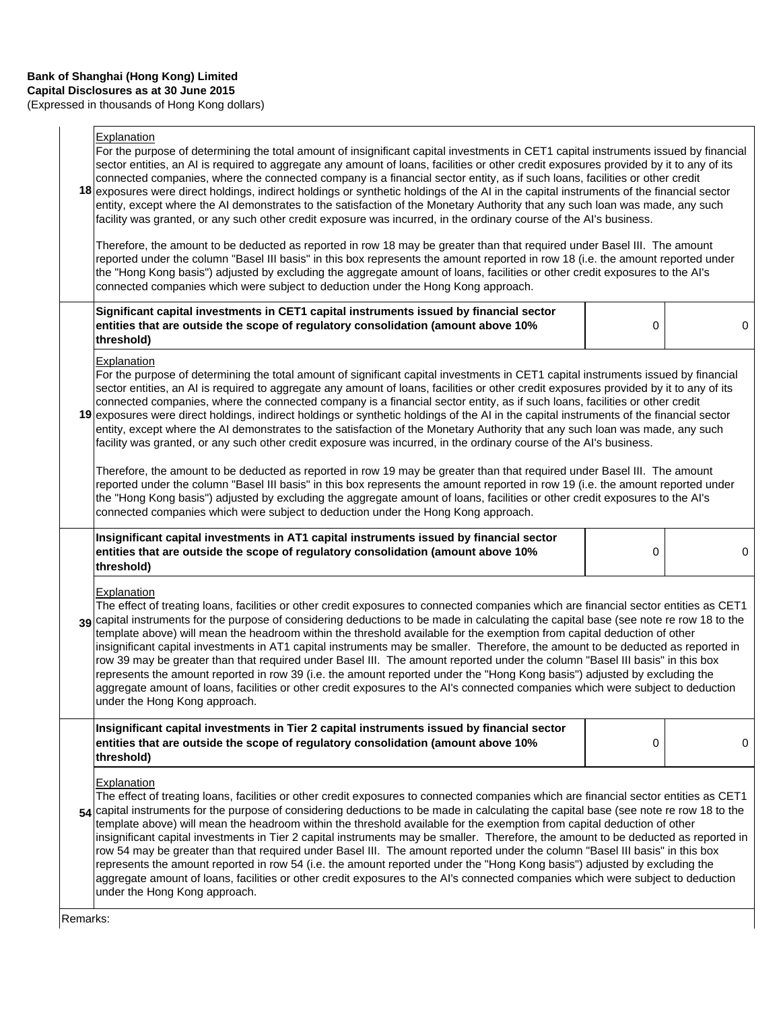(Expressed in thousands of Hong Kong dollars)

## **Explanation**

|                                                                                                                                                                                                                                                                                                                                                                                                                                                                                   | Explanation<br>For the purpose of determining the total amount of insignificant capital investments in CET1 capital instruments issued by financial<br>sector entities, an AI is required to aggregate any amount of loans, facilities or other credit exposures provided by it to any of its<br>connected companies, where the connected company is a financial sector entity, as if such loans, facilities or other credit<br>18 exposures were direct holdings, indirect holdings or synthetic holdings of the AI in the capital instruments of the financial sector<br>entity, except where the AI demonstrates to the satisfaction of the Monetary Authority that any such loan was made, any such<br>facility was granted, or any such other credit exposure was incurred, in the ordinary course of the Al's business.<br>Therefore, the amount to be deducted as reported in row 18 may be greater than that required under Basel III. The amount<br>reported under the column "Basel III basis" in this box represents the amount reported in row 18 (i.e. the amount reported under |   |   |
|-----------------------------------------------------------------------------------------------------------------------------------------------------------------------------------------------------------------------------------------------------------------------------------------------------------------------------------------------------------------------------------------------------------------------------------------------------------------------------------|-----------------------------------------------------------------------------------------------------------------------------------------------------------------------------------------------------------------------------------------------------------------------------------------------------------------------------------------------------------------------------------------------------------------------------------------------------------------------------------------------------------------------------------------------------------------------------------------------------------------------------------------------------------------------------------------------------------------------------------------------------------------------------------------------------------------------------------------------------------------------------------------------------------------------------------------------------------------------------------------------------------------------------------------------------------------------------------------------|---|---|
|                                                                                                                                                                                                                                                                                                                                                                                                                                                                                   | the "Hong Kong basis") adjusted by excluding the aggregate amount of loans, facilities or other credit exposures to the AI's<br>connected companies which were subject to deduction under the Hong Kong approach.<br>Significant capital investments in CET1 capital instruments issued by financial sector                                                                                                                                                                                                                                                                                                                                                                                                                                                                                                                                                                                                                                                                                                                                                                                   |   |   |
|                                                                                                                                                                                                                                                                                                                                                                                                                                                                                   | entities that are outside the scope of regulatory consolidation (amount above 10%<br>threshold)                                                                                                                                                                                                                                                                                                                                                                                                                                                                                                                                                                                                                                                                                                                                                                                                                                                                                                                                                                                               | 0 | 0 |
|                                                                                                                                                                                                                                                                                                                                                                                                                                                                                   | Explanation<br>For the purpose of determining the total amount of significant capital investments in CET1 capital instruments issued by financial<br>sector entities, an AI is required to aggregate any amount of loans, facilities or other credit exposures provided by it to any of its<br>connected companies, where the connected company is a financial sector entity, as if such loans, facilities or other credit<br>19 exposures were direct holdings, indirect holdings or synthetic holdings of the AI in the capital instruments of the financial sector<br>entity, except where the AI demonstrates to the satisfaction of the Monetary Authority that any such loan was made, any such<br>facility was granted, or any such other credit exposure was incurred, in the ordinary course of the AI's business.                                                                                                                                                                                                                                                                   |   |   |
| Therefore, the amount to be deducted as reported in row 19 may be greater than that required under Basel III. The amount<br>reported under the column "Basel III basis" in this box represents the amount reported in row 19 (i.e. the amount reported under<br>the "Hong Kong basis") adjusted by excluding the aggregate amount of loans, facilities or other credit exposures to the AI's<br>connected companies which were subject to deduction under the Hong Kong approach. |                                                                                                                                                                                                                                                                                                                                                                                                                                                                                                                                                                                                                                                                                                                                                                                                                                                                                                                                                                                                                                                                                               |   |   |
|                                                                                                                                                                                                                                                                                                                                                                                                                                                                                   | Insignificant capital investments in AT1 capital instruments issued by financial sector                                                                                                                                                                                                                                                                                                                                                                                                                                                                                                                                                                                                                                                                                                                                                                                                                                                                                                                                                                                                       |   |   |
|                                                                                                                                                                                                                                                                                                                                                                                                                                                                                   | entities that are outside the scope of regulatory consolidation (amount above 10%<br>threshold)                                                                                                                                                                                                                                                                                                                                                                                                                                                                                                                                                                                                                                                                                                                                                                                                                                                                                                                                                                                               | 0 | 0 |
|                                                                                                                                                                                                                                                                                                                                                                                                                                                                                   | Explanation<br>The effect of treating loans, facilities or other credit exposures to connected companies which are financial sector entities as CET1<br>39 capital instruments for the purpose of considering deductions to be made in calculating the capital base (see note re row 18 to the<br>template above) will mean the headroom within the threshold available for the exemption from capital deduction of other<br>insignificant capital investments in AT1 capital instruments may be smaller. Therefore, the amount to be deducted as reported in<br>row 39 may be greater than that required under Basel III. The amount reported under the column "Basel III basis" in this box<br>represents the amount reported in row 39 (i.e. the amount reported under the "Hong Kong basis") adjusted by excluding the<br>aggregate amount of loans, facilities or other credit exposures to the AI's connected companies which were subject to deduction<br>under the Hong Kong approach.                                                                                                |   |   |
|                                                                                                                                                                                                                                                                                                                                                                                                                                                                                   | Insignificant capital investments in Tier 2 capital instruments issued by financial sector<br>entities that are outside the scope of regulatory consolidation (amount above 10%<br>threshold)                                                                                                                                                                                                                                                                                                                                                                                                                                                                                                                                                                                                                                                                                                                                                                                                                                                                                                 | 0 | 0 |
|                                                                                                                                                                                                                                                                                                                                                                                                                                                                                   | Explanation<br>The effect of treating loans, facilities or other credit exposures to connected companies which are financial sector entities as CET1<br>54 capital instruments for the purpose of considering deductions to be made in calculating the capital base (see note re row 18 to the<br>template above) will mean the headroom within the threshold available for the exemption from capital deduction of other<br>insignificant capital investments in Tier 2 capital instruments may be smaller. Therefore, the amount to be deducted as reported in<br>row 54 may be greater than that required under Basel III. The amount reported under the column "Basel III basis" in this box<br>represents the amount reported in row 54 (i.e. the amount reported under the "Hong Kong basis") adjusted by excluding the<br>aggregate amount of loans, facilities or other credit exposures to the AI's connected companies which were subject to deduction<br>under the Hong Kong approach.                                                                                             |   |   |